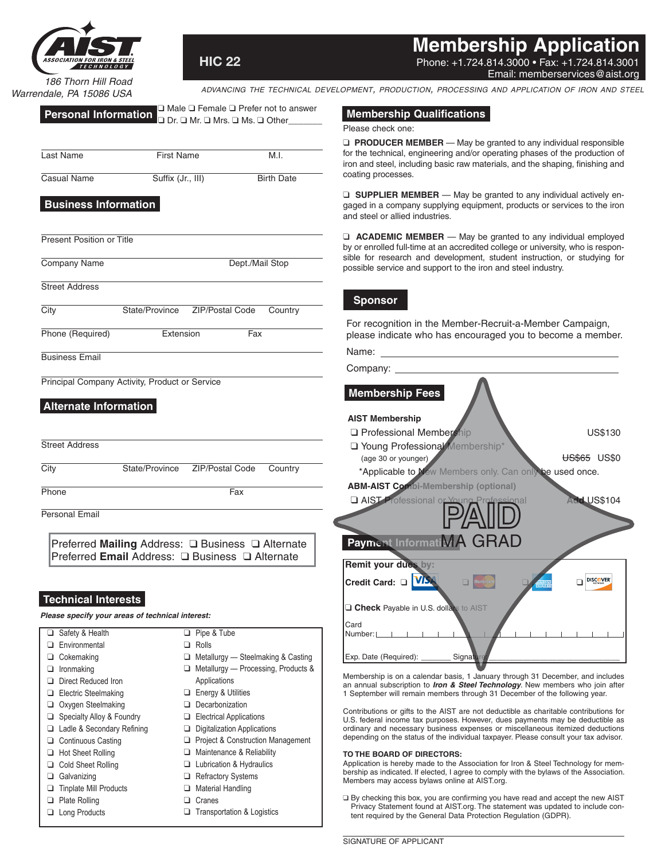

**HIC 22**

**Membership Application**

Phone: +1.724.814.3000 • Fax: +1.724.814.3001 Email: memberservices@aist.org

*186 Thorn Hill Road Warrendale, PA 15086 USA*

*advancing the technical development, production, processing and application of iron and steel*

| <b>Personal Information</b> $\Box$ Male $\Box$ Female $\Box$ Prefer not to answer<br>$\Box$ Dr. $\Box$ Mr. $\Box$ Ms. $\Box$ Other |  |
|------------------------------------------------------------------------------------------------------------------------------------|--|
|                                                                                                                                    |  |

| Last Name          | <b>First Name</b> | M.I.              |
|--------------------|-------------------|-------------------|
| <b>Casual Name</b> | Suffix (Jr., III) | <b>Birth Date</b> |

# **Business Information**

Present Position or Title

Company Name Dept./Mail Stop

**Street Address** 

City State/Province ZIP/Postal Code Country

Phone (Required) **Extension** Fax

Business Email

Principal Company Activity, Product or Service

# **Alternate Information**

| <b>Street Address</b> |                                |         |
|-----------------------|--------------------------------|---------|
| City                  | State/Province ZIP/Postal Code | Country |
| Phone                 | Fax                            |         |
| <b>Personal Email</b> |                                |         |

Preferred **Mailing** Address: ❑ Business ❑ Alternate Preferred **Email** Address: ❑ Business ❑ Alternate

# **Technical Interests**

*Please specify your areas of technical interest:*

| ப  | Safety & Health               | Pipe & Tube                                |
|----|-------------------------------|--------------------------------------------|
|    | Environmental                 | Rolls                                      |
|    | Cokemaking                    | Metallurgy — Steelmaking & Casting         |
|    | Ironmaking                    | $\Box$ Metallurgy — Processing, Products & |
|    | Direct Reduced Iron           | Applications                               |
| ⊔  | Electric Steelmaking          | Energy & Utilities                         |
|    | Oxygen Steelmaking            | Decarbonization                            |
|    | Specialty Alloy & Foundry     | <b>Electrical Applications</b>             |
|    | Ladle & Secondary Refining    | <b>Digitalization Applications</b>         |
|    | <b>Continuous Casting</b>     | □ Project & Construction Management        |
| ⊔  | <b>Hot Sheet Rolling</b>      | Maintenance & Reliability                  |
|    | <b>Cold Sheet Rolling</b>     | $\Box$ Lubrication & Hydraulics            |
| ⊔  | Galvanizing                   | <b>Refractory Systems</b>                  |
|    | <b>Tinplate Mill Products</b> | <b>Material Handling</b>                   |
|    | Plate Rolling                 | Cranes                                     |
| u. | Long Products                 | Transportation & Logistics                 |

#### ❑ Transportation & Logistics

#### **Membership Qualifications**

#### Please check one:

❑ **PRODUCER MEMBER** — May be granted to any individual responsible for the technical, engineering and/or operating phases of the production of iron and steel, including basic raw materials, and the shaping, finishing and coating processes.

❑ **SUPPLIER MEMBER** — May be granted to any individual actively engaged in a company supplying equipment, products or services to the iron and steel or allied industries.

❑ **ACADEMIC MEMBER** — May be granted to any individual employed by or enrolled full-time at an accredited college or university, who is responsible for research and development, student instruction, or studying for possible service and support to the iron and steel industry.

# **Sponsor**

For recognition in the Member-Recruit-a-Member Campaign, please indicate who has encouraged you to become a member.

| Name:    |  |
|----------|--|
| Company: |  |
|          |  |

# **Membership Fees**

#### **AIST Membership**

□ Professional Membership New York US\$130 □ Young Professional Membershipt (age 30 or younger) and the US\$65 US\$0 \*Applicable to New Members only. Can only be used once. **ABM-AIST Combi-Membership (optional)** ❑ AIST Professional or Young Professional **Add** US\$104 **Remit your dues by:** Credit Card: **O VID USE** Mastercard **DISCOVER** □ Check Payable in U.S. dollars to AIST **Card** Number: Exp. Date (Required): \_\_\_\_\_\_\_\_\_\_ Signa Payment InformatiMA GRAD **PAID**

Membership is on a calendar basis, 1 January through 31 December, and includes an annual subscription to *Iron & Steel Technology*. New members who join after 1 September will remain members through 31 December of the following year.

Contributions or gifts to the AIST are not deductible as charitable contributions for U.S. federal income tax purposes. However, dues payments may be deductible as ordinary and necessary business expenses or miscellaneous itemized deductions depending on the status of the individual taxpayer. Please consult your tax advisor.

#### **TO THE BOARD OF DIRECTORS:**

Application is hereby made to the Association for Iron & Steel Technology for membership as indicated. If elected, I agree to comply with the bylaws of the Association. Members may access bylaws online at AIST.org.

❑ By checking this box, you are confirming you have read and accept the new AIST Privacy Statement found at AIST.org. The statement was updated to include content required by the General Data Protection Regulation (GDPR).